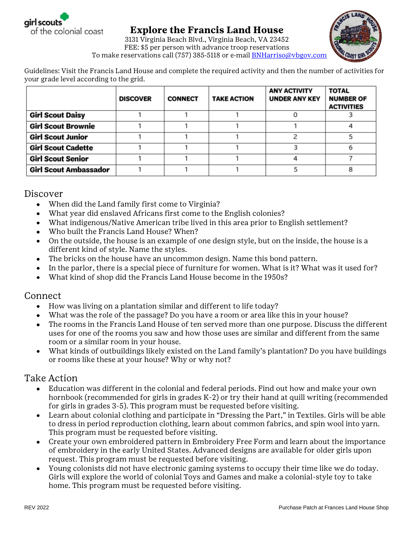

## **Explore the Francis Land House** 3131 Virginia Beach Blvd., Virginia Beach, VA 23452

FEE: \$5 per person with advance troop reservations To make reservations call (757) 385-5118 or e-mail **BNHarriso@vbgov.com** 

Guidelines: Visit the Francis Land House and complete the required activity and then the number of activities for your grade level according to the grid.

|                              | <b>DISCOVER</b> | <b>CONNECT</b> | <b>TAKE ACTION</b> | <b>ANY ACTIVITY</b><br><b>UNDER ANY KEY</b> | <b>TOTAL</b><br><b>NUMBER OF</b><br><b>ACTIVITIES</b> |
|------------------------------|-----------------|----------------|--------------------|---------------------------------------------|-------------------------------------------------------|
| <b>Girl Scout Daisy</b>      |                 |                |                    |                                             |                                                       |
| <b>Girl Scout Brownie</b>    |                 |                |                    |                                             |                                                       |
| <b>Girl Scout Junior</b>     |                 |                |                    |                                             |                                                       |
| <b>Girl Scout Cadette</b>    |                 |                |                    |                                             |                                                       |
| <b>Girl Scout Senior</b>     |                 |                |                    |                                             |                                                       |
| <b>Girl Scout Ambassador</b> |                 |                |                    |                                             |                                                       |

## Discover

- When did the Land family first come to Virginia?  $\bullet$
- What year did enslaved Africans first come to the English colonies?
- What indigenous/Native American tribe lived in this area prior to English settlement?
- Who built the Francis Land House? When?
- On the outside, the house is an example of one design style, but on the inside, the house is a different kind of style. Name the styles.
- The bricks on the house have an uncommon design. Name this bond pattern.
- In the parlor, there is a special piece of furniture for women. What is it? What was it used for?
- What kind of shop did the Francis Land House become in the 1950s?

## Connect

- How was living on a plantation similar and different to life today?  $\bullet$
- What was the role of the passage? Do you have a room or area like this in your house?
- The rooms in the Francis Land House of ten served more than one purpose. Discuss the different uses for one of the rooms you saw and how those uses are similar and different from the same room or a similar room in your house.
- What kinds of outbuildings likely existed on the Land family's plantation? Do you have buildings or rooms like these at your house? Why or why not?

## Take Action

- Education was different in the colonial and federal periods. Find out how and make your own hornbook (recommended for girls in grades K-2) or try their hand at quill writing (recommended for girls in grades 3-5). This program must be requested before visiting.
- Learn about colonial clothing and participate in "Dressing the Part," in Textiles. Girls will be able to dress in period reproduction clothing, learn about common fabrics, and spin wool into yarn. This program must be requested before visiting.
- Create your own embroidered pattern in Embroidery Free Form and learn about the importance of embroidery in the early United States. Advanced designs are available for older girls upon request. This program must be requested before visiting.
- Young colonists did not have electronic gaming systems to occupy their time like we do today.  $\bullet$ Girls will explore the world of colonial Toys and Games and make a colonial-style toy to take home. This program must be requested before visiting.